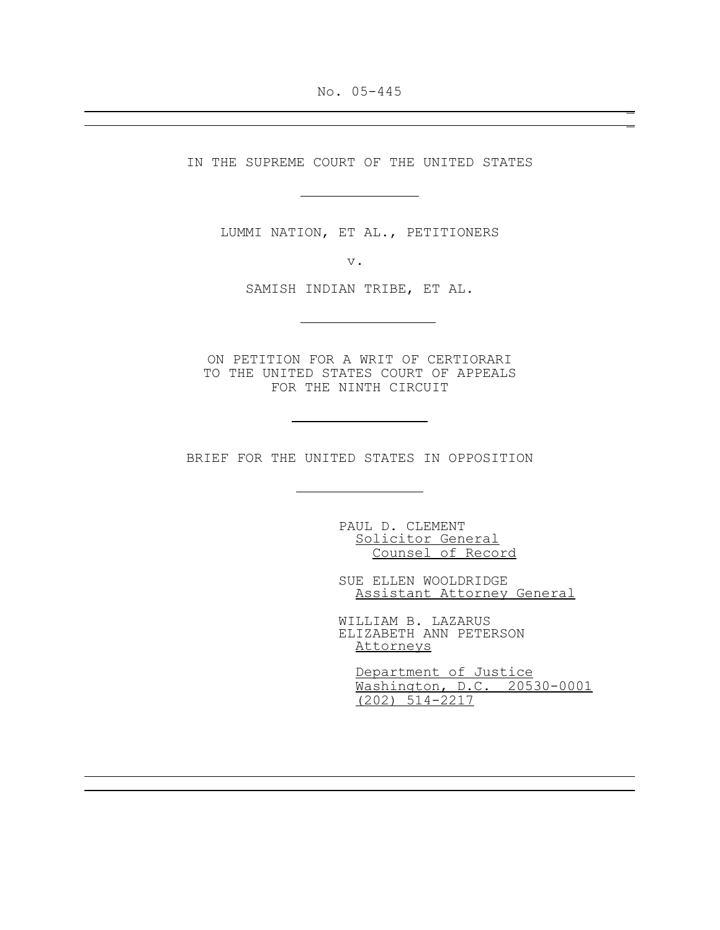No. 05-445 \_

\_

IN THE SUPREME COURT OF THE UNITED STATES

 $\overline{a}$ 

J.

J.

j.

LUMMI NATION, ET AL., PETITIONERS

v.

SAMISH INDIAN TRIBE, ET AL.

ON PETITION FOR A WRIT OF CERTIORARI TO THE UNITED STATES COURT OF APPEALS FOR THE NINTH CIRCUIT

BRIEF FOR THE UNITED STATES IN OPPOSITION

PAUL D. CLEMENT Solicitor General Counsel of Record

SUE ELLEN WOOLDRIDGE Assistant Attorney General

WILLIAM B. LAZARUS ELIZABETH ANN PETERSON Attorneys

 Department of Justice Washington, D.C. 20530-0001 (202) 514-2217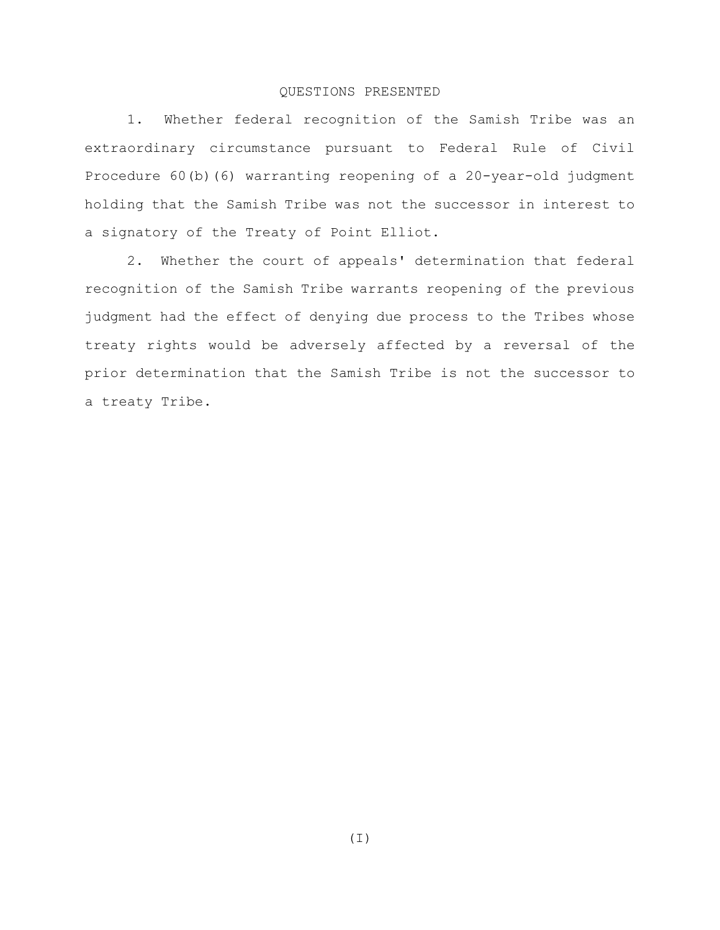# QUESTIONS PRESENTED

1. Whether federal recognition of the Samish Tribe was an extraordinary circumstance pursuant to Federal Rule of Civil Procedure 60(b)(6) warranting reopening of a 20-year-old judgment holding that the Samish Tribe was not the successor in interest to a signatory of the Treaty of Point Elliot.

2. Whether the court of appeals' determination that federal recognition of the Samish Tribe warrants reopening of the previous judgment had the effect of denying due process to the Tribes whose treaty rights would be adversely affected by a reversal of the prior determination that the Samish Tribe is not the successor to a treaty Tribe.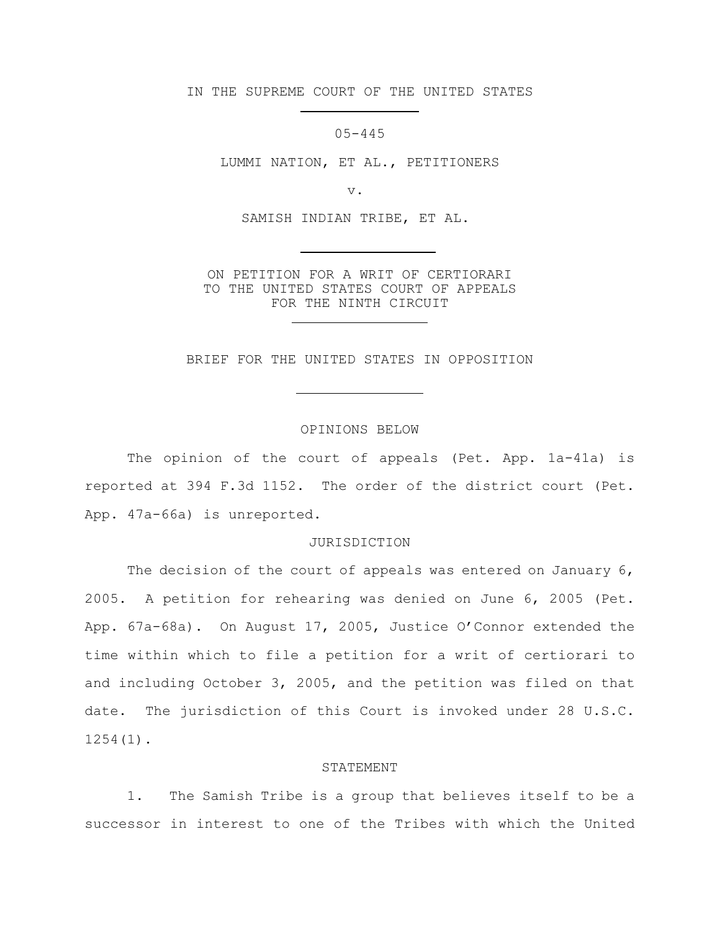IN THE SUPREME COURT OF THE UNITED STATES

 $\overline{a}$ 

J.

05-445

LUMMI NATION, ET AL., PETITIONERS

v.

SAMISH INDIAN TRIBE, ET AL.

ON PETITION FOR A WRIT OF CERTIORARI TO THE UNITED STATES COURT OF APPEALS FOR THE NINTH CIRCUIT J.

BRIEF FOR THE UNITED STATES IN OPPOSITION

## OPINIONS BELOW

The opinion of the court of appeals (Pet. App. 1a-41a) is reported at 394 F.3d 1152. The order of the district court (Pet. App. 47a-66a) is unreported.

### JURISDICTION

The decision of the court of appeals was entered on January 6, 2005. A petition for rehearing was denied on June 6, 2005 (Pet. App. 67a-68a). On August 17, 2005, Justice O'Connor extended the time within which to file a petition for a writ of certiorari to and including October 3, 2005, and the petition was filed on that date. The jurisdiction of this Court is invoked under 28 U.S.C. 1254(1).

#### STATEMENT

1. The Samish Tribe is a group that believes itself to be a successor in interest to one of the Tribes with which the United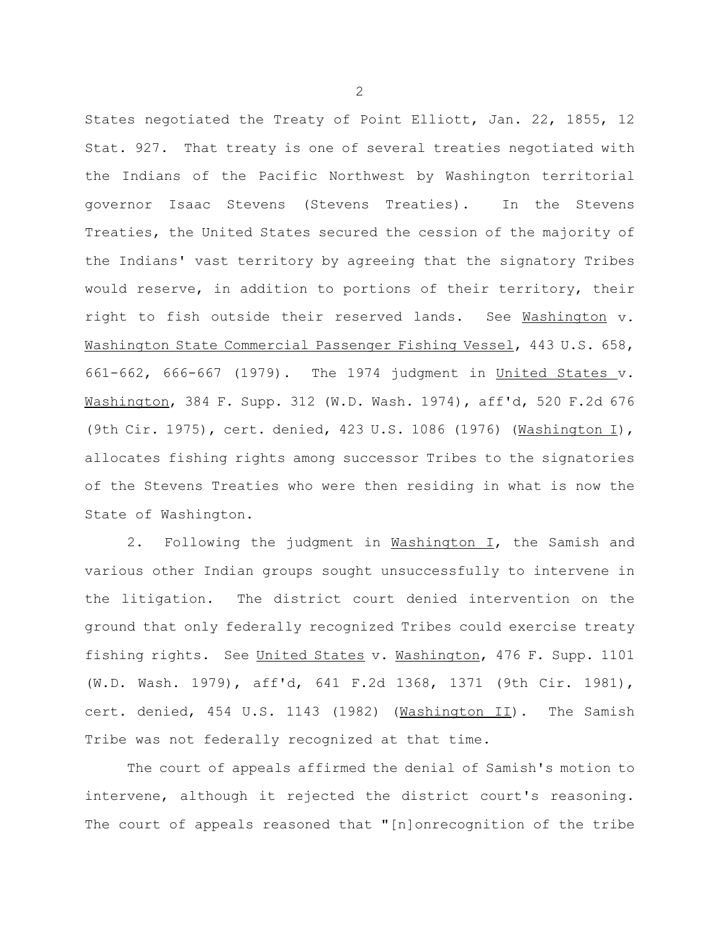States negotiated the Treaty of Point Elliott, Jan. 22, 1855, 12 Stat. 927. That treaty is one of several treaties negotiated with the Indians of the Pacific Northwest by Washington territorial governor Isaac Stevens (Stevens Treaties). In the Stevens Treaties, the United States secured the cession of the majority of the Indians' vast territory by agreeing that the signatory Tribes would reserve, in addition to portions of their territory, their right to fish outside their reserved lands. See Washington v. Washington State Commercial Passenger Fishing Vessel, 443 U.S. 658, 661-662, 666-667 (1979). The 1974 judgment in United States v. Washington, 384 F. Supp. 312 (W.D. Wash. 1974), aff'd, 520 F.2d 676 (9th Cir. 1975), cert. denied, 423 U.S. 1086 (1976) (Washington I), allocates fishing rights among successor Tribes to the signatories of the Stevens Treaties who were then residing in what is now the State of Washington.

2. Following the judgment in Washington I, the Samish and various other Indian groups sought unsuccessfully to intervene in the litigation. The district court denied intervention on the ground that only federally recognized Tribes could exercise treaty fishing rights. See United States v. Washington, 476 F. Supp. 1101 (W.D. Wash. 1979), aff'd, 641 F.2d 1368, 1371 (9th Cir. 1981), cert. denied, 454 U.S. 1143 (1982) (Washington II). The Samish Tribe was not federally recognized at that time.

The court of appeals affirmed the denial of Samish's motion to intervene, although it rejected the district court's reasoning. The court of appeals reasoned that "[n]onrecognition of the tribe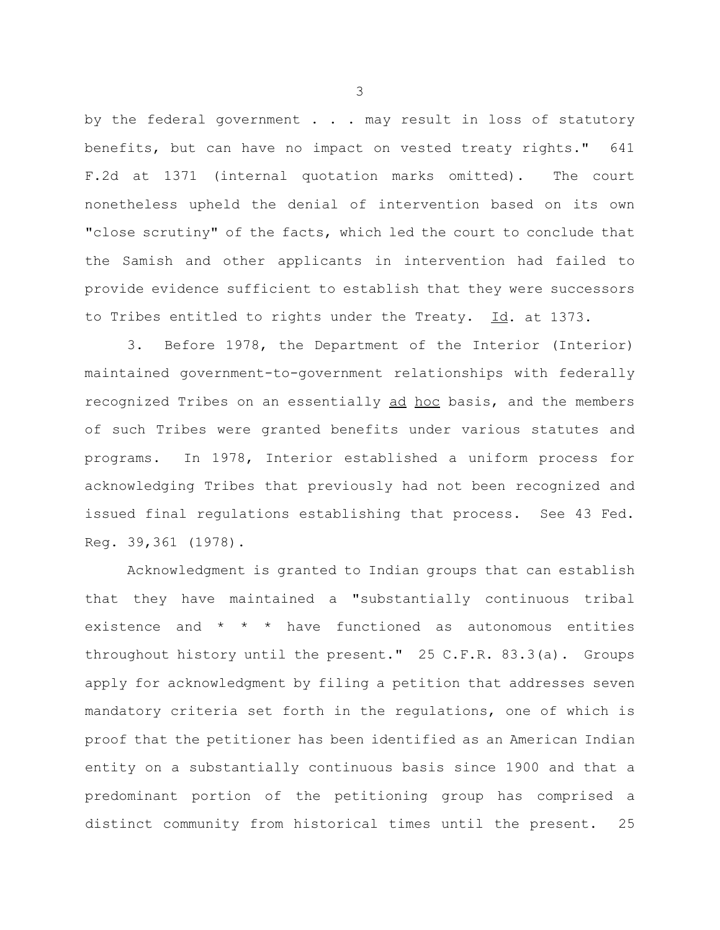by the federal government . . . may result in loss of statutory benefits, but can have no impact on vested treaty rights." 641 F.2d at 1371 (internal quotation marks omitted). The court nonetheless upheld the denial of intervention based on its own "close scrutiny" of the facts, which led the court to conclude that the Samish and other applicants in intervention had failed to provide evidence sufficient to establish that they were successors to Tribes entitled to rights under the Treaty. Id. at 1373.

3. Before 1978, the Department of the Interior (Interior) maintained government-to-government relationships with federally recognized Tribes on an essentially ad hoc basis, and the members of such Tribes were granted benefits under various statutes and programs. In 1978, Interior established a uniform process for acknowledging Tribes that previously had not been recognized and issued final regulations establishing that process. See 43 Fed. Reg. 39,361 (1978).

Acknowledgment is granted to Indian groups that can establish that they have maintained a "substantially continuous tribal existence and \* \* \* have functioned as autonomous entities throughout history until the present." 25 C.F.R. 83.3(a). Groups apply for acknowledgment by filing a petition that addresses seven mandatory criteria set forth in the regulations, one of which is proof that the petitioner has been identified as an American Indian entity on a substantially continuous basis since 1900 and that a predominant portion of the petitioning group has comprised a distinct community from historical times until the present. 25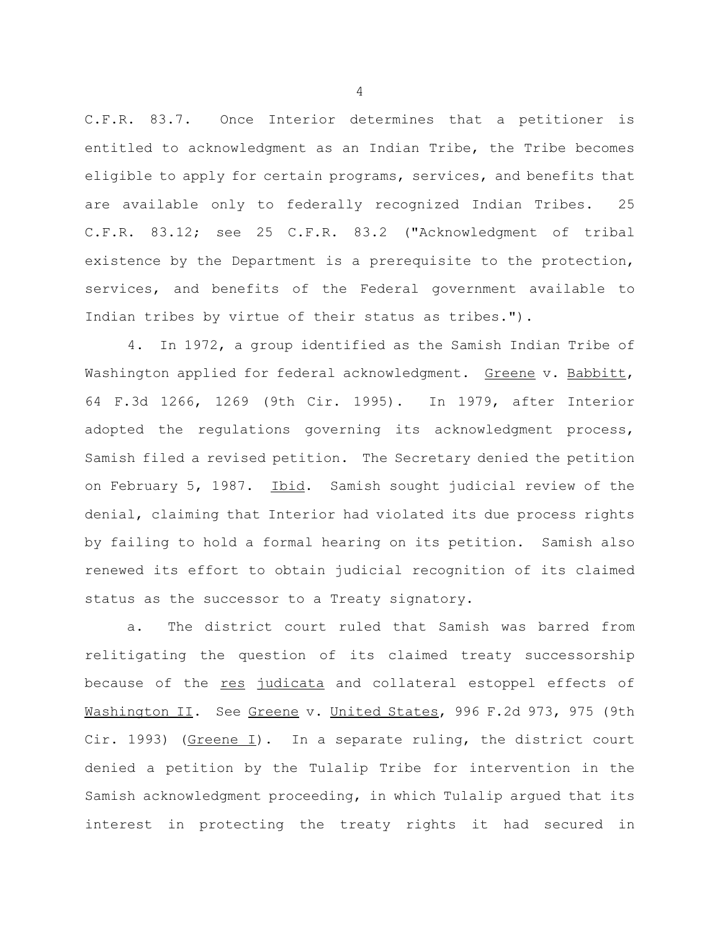C.F.R. 83.7. Once Interior determines that a petitioner is entitled to acknowledgment as an Indian Tribe, the Tribe becomes eligible to apply for certain programs, services, and benefits that are available only to federally recognized Indian Tribes. 25 C.F.R. 83.12; see 25 C.F.R. 83.2 ("Acknowledgment of tribal existence by the Department is a prerequisite to the protection, services, and benefits of the Federal government available to Indian tribes by virtue of their status as tribes.").

4. In 1972, a group identified as the Samish Indian Tribe of Washington applied for federal acknowledgment. Greene v. Babbitt, 64 F.3d 1266, 1269 (9th Cir. 1995). In 1979, after Interior adopted the regulations governing its acknowledgment process, Samish filed a revised petition. The Secretary denied the petition on February 5, 1987. Ibid. Samish sought judicial review of the denial, claiming that Interior had violated its due process rights by failing to hold a formal hearing on its petition. Samish also renewed its effort to obtain judicial recognition of its claimed status as the successor to a Treaty signatory.

a. The district court ruled that Samish was barred from relitigating the question of its claimed treaty successorship because of the res judicata and collateral estoppel effects of Mashington II. See Greene v. United States, 996 F.2d 973, 975 (9th Cir. 1993) ( $Greene I$ ). In a separate ruling, the district court denied a petition by the Tulalip Tribe for intervention in the Samish acknowledgment proceeding, in which Tulalip argued that its interest in protecting the treaty rights it had secured in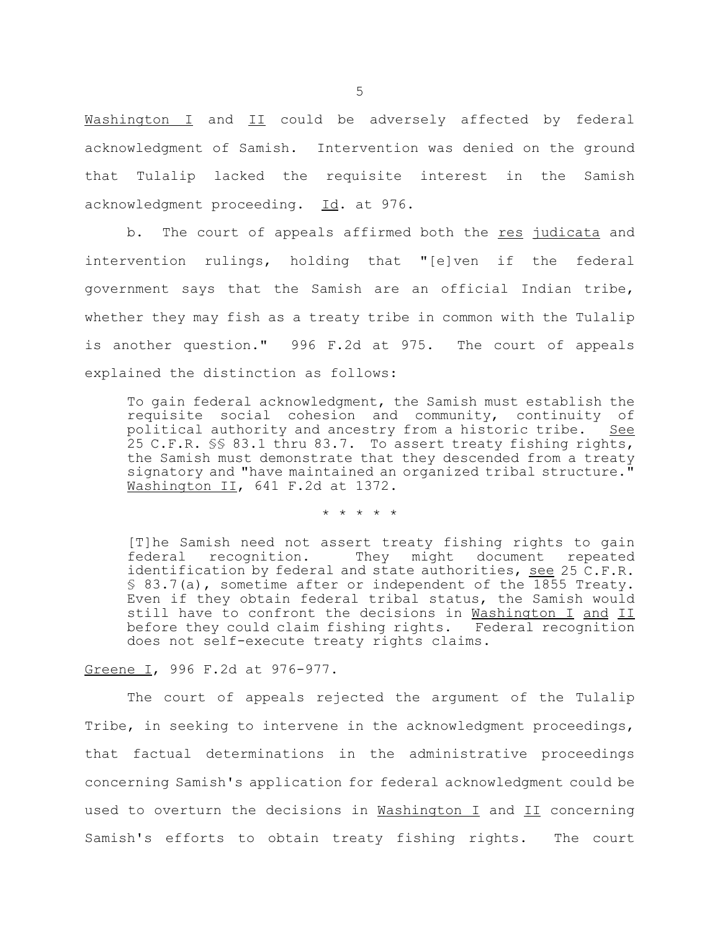Washington I and II could be adversely affected by federal acknowledgment of Samish. Intervention was denied on the ground that Tulalip lacked the requisite interest in the Samish acknowledgment proceeding. Id. at 976.

b. The court of appeals affirmed both the res judicata and intervention rulings, holding that "[e]ven if the federal government says that the Samish are an official Indian tribe, whether they may fish as a treaty tribe in common with the Tulalip is another question." 996 F.2d at 975. The court of appeals explained the distinction as follows:

To gain federal acknowledgment, the Samish must establish the requisite social cohesion and community, continuity of political authority and ancestry from a historic tribe. See 25 C.F.R. §§ 83.1 thru 83.7. To assert treaty fishing rights, the Samish must demonstrate that they descended from a treaty signatory and "have maintained an organized tribal structure." Washington II, 641 F.2d at 1372.

\* \* \* \* \*

[T]he Samish need not assert treaty fishing rights to gain federal recognition. They might document repeated identification by federal and state authorities, see 25 C.F.R. § 83.7(a), sometime after or independent of the 1855 Treaty. Even if they obtain federal tribal status, the Samish would still have to confront the decisions in Washington I and II before they could claim fishing rights. Federal recognition does not self-execute treaty rights claims.

Greene I, 996 F.2d at 976-977.

The court of appeals rejected the argument of the Tulalip Tribe, in seeking to intervene in the acknowledgment proceedings, that factual determinations in the administrative proceedings concerning Samish's application for federal acknowledgment could be used to overturn the decisions in Washington I and II concerning Samish's efforts to obtain treaty fishing rights. The court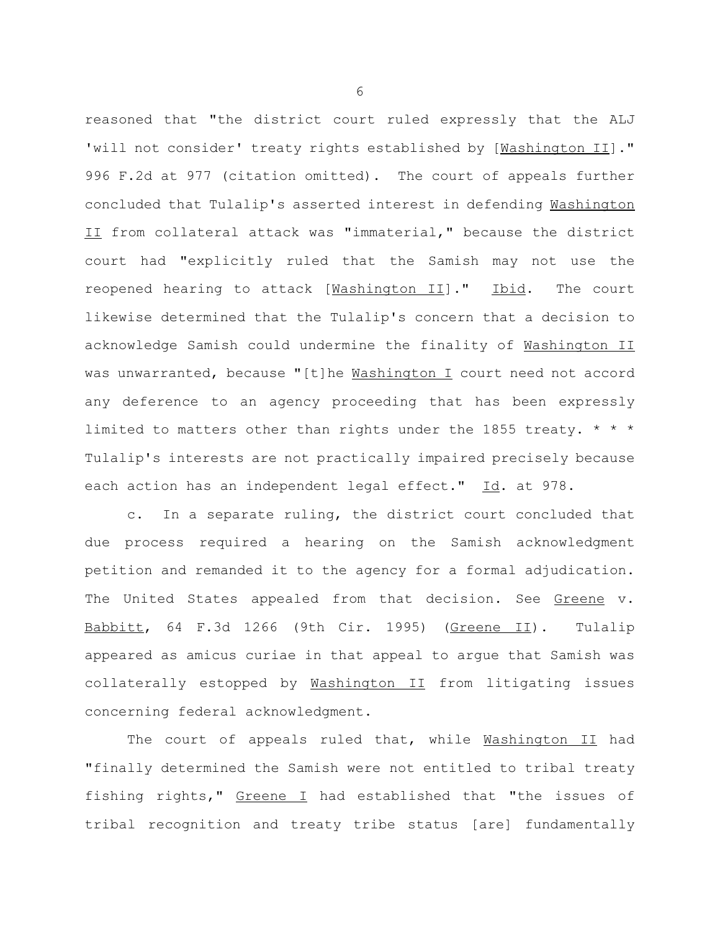reasoned that "the district court ruled expressly that the ALJ 'will not consider' treaty rights established by [Washington II]." 996 F.2d at 977 (citation omitted). The court of appeals further concluded that Tulalip's asserted interest in defending Washington II from collateral attack was "immaterial," because the district court had "explicitly ruled that the Samish may not use the reopened hearing to attack [Mashington II]." Ibid. The court likewise determined that the Tulalip's concern that a decision to acknowledge Samish could undermine the finality of Washington II was unwarranted, because "[t]he **Washington I** court need not accord any deference to an agency proceeding that has been expressly limited to matters other than rights under the 1855 treaty. \* \* \* Tulalip's interests are not practically impaired precisely because each action has an independent legal effect." Id. at 978.

c. In a separate ruling, the district court concluded that due process required a hearing on the Samish acknowledgment petition and remanded it to the agency for a formal adjudication. The United States appealed from that decision. See Greene v. Babbitt, 64 F.3d 1266 (9th Cir. 1995) (Greene II). Tulalip appeared as amicus curiae in that appeal to argue that Samish was collaterally estopped by Washington II from litigating issues concerning federal acknowledgment.

The court of appeals ruled that, while Washington II had "finally determined the Samish were not entitled to tribal treaty fishing rights," Greene I had established that "the issues of tribal recognition and treaty tribe status [are] fundamentally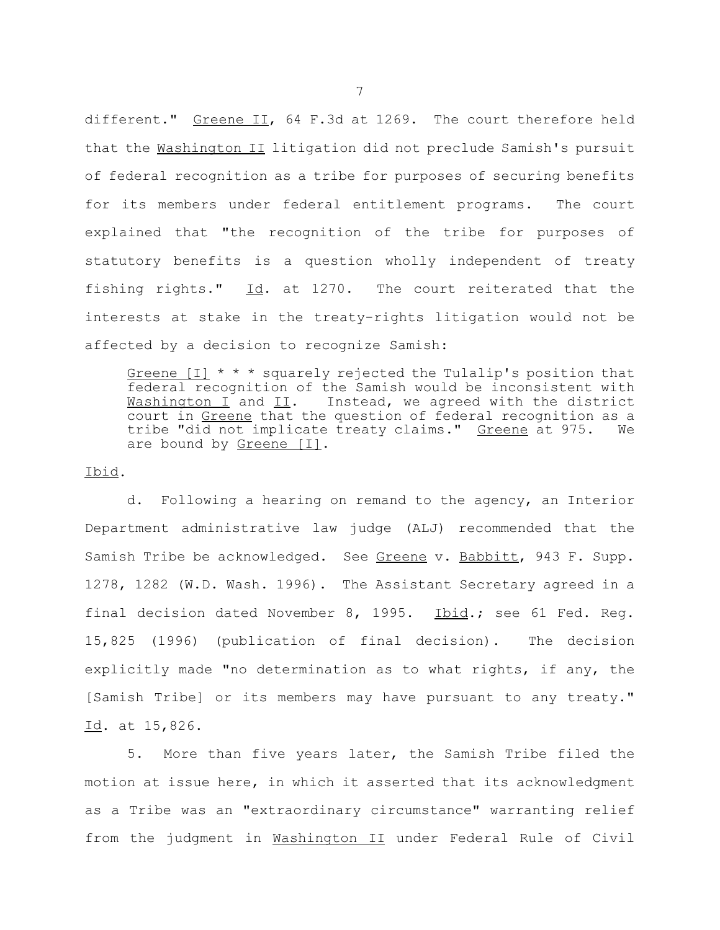different." Greene II, 64 F.3d at 1269. The court therefore held that the Washington II litigation did not preclude Samish's pursuit of federal recognition as a tribe for purposes of securing benefits for its members under federal entitlement programs. The court explained that "the recognition of the tribe for purposes of statutory benefits is a question wholly independent of treaty fishing rights."  $\underline{Id}$ . at 1270. The court reiterated that the interests at stake in the treaty-rights litigation would not be affected by a decision to recognize Samish:

Greene [I] \* \* \* squarely rejected the Tulalip's position that federal recognition of the Samish would be inconsistent with Mashington I and II. Instead, we agreed with the district court in Greene that the question of federal recognition as a tribe "did not implicate treaty claims." Greene at 975. We are bound by Greene [I].

Ibid.

d. Following a hearing on remand to the agency, an Interior Department administrative law judge (ALJ) recommended that the Samish Tribe be acknowledged. See Greene v. Babbitt, 943 F. Supp. 1278, 1282 (W.D. Wash. 1996). The Assistant Secretary agreed in a final decision dated November 8, 1995. Ibid.; see 61 Fed. Reg. 15,825 (1996) (publication of final decision). The decision explicitly made "no determination as to what rights, if any, the [Samish Tribe] or its members may have pursuant to any treaty." Id. at 15,826.

5. More than five years later, the Samish Tribe filed the motion at issue here, in which it asserted that its acknowledgment as a Tribe was an "extraordinary circumstance" warranting relief from the judgment in Washington II under Federal Rule of Civil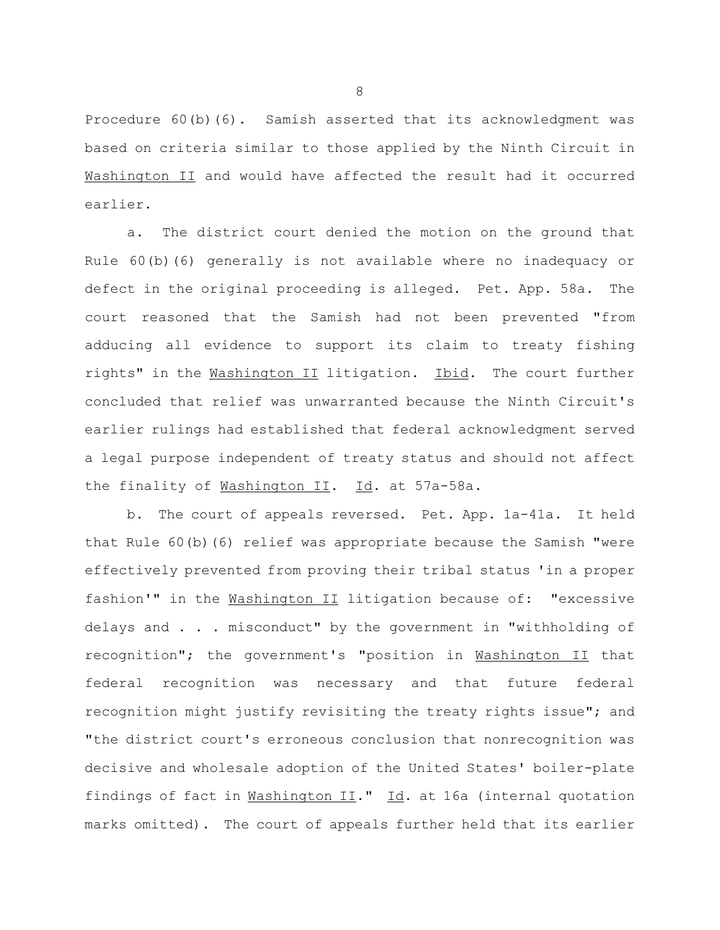Procedure 60(b)(6). Samish asserted that its acknowledgment was based on criteria similar to those applied by the Ninth Circuit in Washington II and would have affected the result had it occurred earlier.

a. The district court denied the motion on the ground that Rule 60(b)(6) generally is not available where no inadequacy or defect in the original proceeding is alleged. Pet. App. 58a. The court reasoned that the Samish had not been prevented "from adducing all evidence to support its claim to treaty fishing rights" in the Washington II litigation. Ibid. The court further concluded that relief was unwarranted because the Ninth Circuit's earlier rulings had established that federal acknowledgment served a legal purpose independent of treaty status and should not affect the finality of Washington II. Id. at 57a-58a.

b. The court of appeals reversed. Pet. App. 1a-41a. It held that Rule 60(b)(6) relief was appropriate because the Samish "were effectively prevented from proving their tribal status 'in a proper fashion'" in the Washington II litigation because of: "excessive delays and . . . misconduct" by the government in "withholding of recognition"; the government's "position in Washington II that federal recognition was necessary and that future federal recognition might justify revisiting the treaty rights issue"; and "the district court's erroneous conclusion that nonrecognition was decisive and wholesale adoption of the United States' boiler-plate findings of fact in Washington II." Id. at 16a (internal quotation marks omitted). The court of appeals further held that its earlier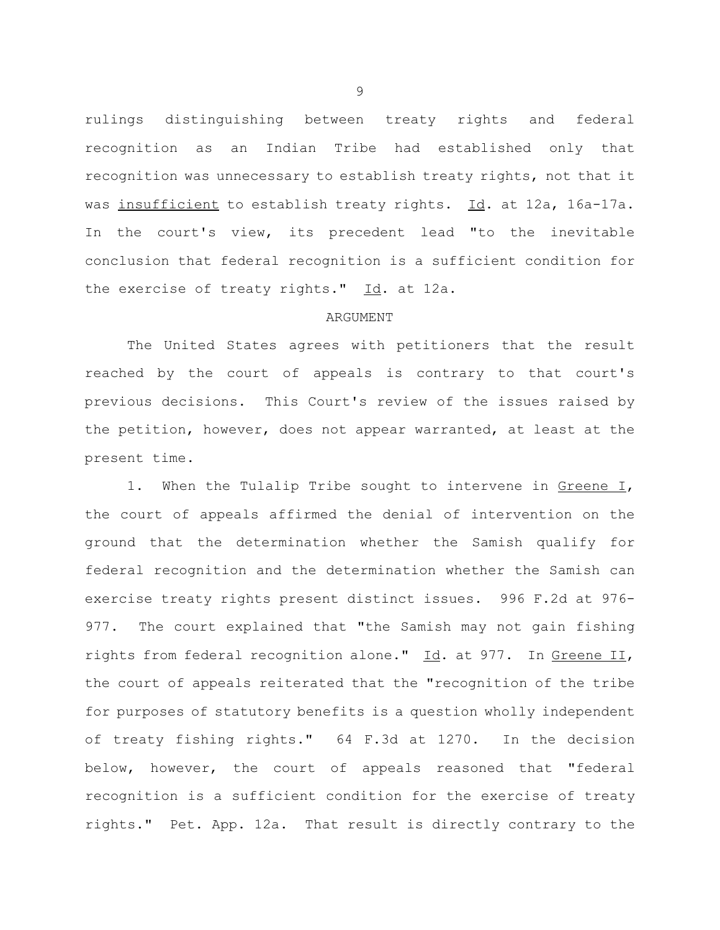rulings distinguishing between treaty rights and federal recognition as an Indian Tribe had established only that recognition was unnecessary to establish treaty rights, not that it was insufficient to establish treaty rights. Id. at 12a, 16a-17a. In the court's view, its precedent lead "to the inevitable conclusion that federal recognition is a sufficient condition for the exercise of treaty rights."  $\underline{Id}$ . at 12a.

## ARGUMENT

The United States agrees with petitioners that the result reached by the court of appeals is contrary to that court's previous decisions. This Court's review of the issues raised by the petition, however, does not appear warranted, at least at the present time.

1. When the Tulalip Tribe sought to intervene in Greene I, the court of appeals affirmed the denial of intervention on the ground that the determination whether the Samish qualify for federal recognition and the determination whether the Samish can exercise treaty rights present distinct issues. 996 F.2d at 976- 977. The court explained that "the Samish may not gain fishing rights from federal recognition alone." Id. at 977. In Greene II, the court of appeals reiterated that the "recognition of the tribe for purposes of statutory benefits is a question wholly independent of treaty fishing rights." 64 F.3d at 1270. In the decision below, however, the court of appeals reasoned that "federal recognition is a sufficient condition for the exercise of treaty rights." Pet. App. 12a. That result is directly contrary to the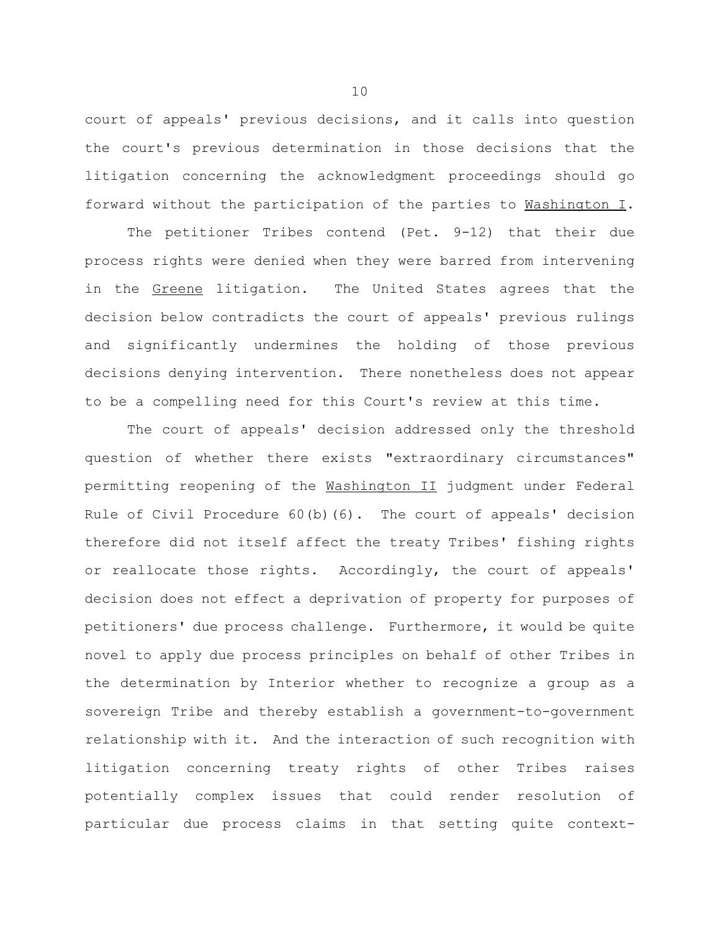court of appeals' previous decisions, and it calls into question the court's previous determination in those decisions that the litigation concerning the acknowledgment proceedings should go forward without the participation of the parties to Washington I.

The petitioner Tribes contend (Pet. 9-12) that their due process rights were denied when they were barred from intervening in the Greene litigation. The United States agrees that the decision below contradicts the court of appeals' previous rulings and significantly undermines the holding of those previous decisions denying intervention. There nonetheless does not appear to be a compelling need for this Court's review at this time.

The court of appeals' decision addressed only the threshold question of whether there exists "extraordinary circumstances" permitting reopening of the Washington II judgment under Federal Rule of Civil Procedure 60(b)(6). The court of appeals' decision therefore did not itself affect the treaty Tribes' fishing rights or reallocate those rights. Accordingly, the court of appeals' decision does not effect a deprivation of property for purposes of petitioners' due process challenge. Furthermore, it would be quite novel to apply due process principles on behalf of other Tribes in the determination by Interior whether to recognize a group as a sovereign Tribe and thereby establish a government-to-government relationship with it. And the interaction of such recognition with litigation concerning treaty rights of other Tribes raises potentially complex issues that could render resolution of particular due process claims in that setting quite context-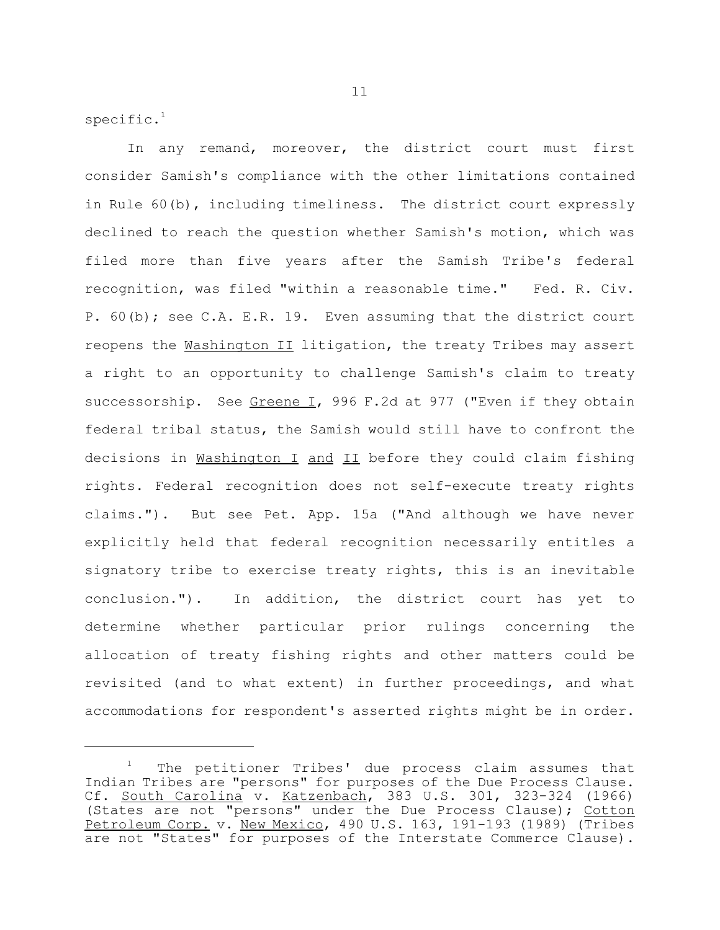specific. $1$ 

In any remand, moreover, the district court must first consider Samish's compliance with the other limitations contained in Rule 60(b), including timeliness. The district court expressly declined to reach the question whether Samish's motion, which was filed more than five years after the Samish Tribe's federal recognition, was filed "within a reasonable time." Fed. R. Civ. P. 60(b); see C.A. E.R. 19. Even assuming that the district court reopens the Washington II litigation, the treaty Tribes may assert a right to an opportunity to challenge Samish's claim to treaty successorship. See Greene I, 996 F.2d at 977 ("Even if they obtain federal tribal status, the Samish would still have to confront the decisions in Washington I and II before they could claim fishing rights. Federal recognition does not self-execute treaty rights claims."). But see Pet. App. 15a ("And although we have never explicitly held that federal recognition necessarily entitles a signatory tribe to exercise treaty rights, this is an inevitable conclusion."). In addition, the district court has yet to determine whether particular prior rulings concerning the allocation of treaty fishing rights and other matters could be revisited (and to what extent) in further proceedings, and what accommodations for respondent's asserted rights might be in order.

The petitioner Tribes' due process claim assumes that Indian Tribes are "persons" for purposes of the Due Process Clause. Cf. South Carolina v. Katzenbach, 383 U.S. 301, 323-324 (1966) (States are not "persons" under the Due Process Clause); Cotton Petroleum Corp. v. New Mexico, 490 U.S. 163, 191-193 (1989) (Tribes are not "States" for purposes of the Interstate Commerce Clause).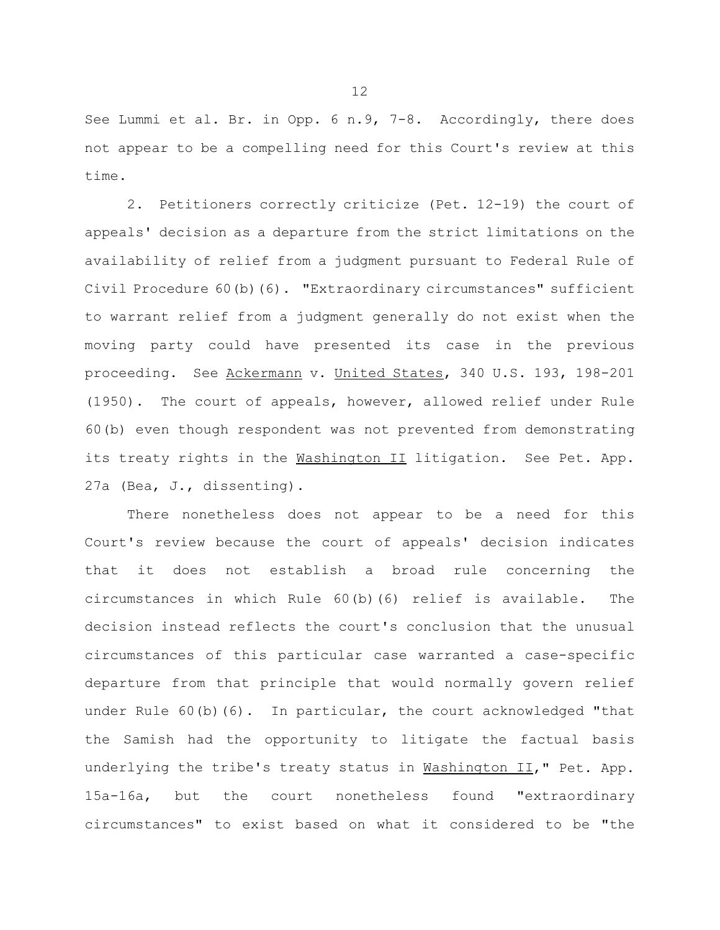See Lummi et al. Br. in Opp. 6 n.9, 7-8. Accordingly, there does not appear to be a compelling need for this Court's review at this time.

2. Petitioners correctly criticize (Pet. 12-19) the court of appeals' decision as a departure from the strict limitations on the availability of relief from a judgment pursuant to Federal Rule of Civil Procedure 60(b)(6). "Extraordinary circumstances" sufficient to warrant relief from a judgment generally do not exist when the moving party could have presented its case in the previous proceeding. See Ackermann v. United States, 340 U.S. 193, 198-201 (1950). The court of appeals, however, allowed relief under Rule 60(b) even though respondent was not prevented from demonstrating its treaty rights in the Washington II litigation. See Pet. App. 27a (Bea, J., dissenting).

There nonetheless does not appear to be a need for this Court's review because the court of appeals' decision indicates that it does not establish a broad rule concerning the circumstances in which Rule 60(b)(6) relief is available. The decision instead reflects the court's conclusion that the unusual circumstances of this particular case warranted a case-specific departure from that principle that would normally govern relief under Rule 60(b)(6). In particular, the court acknowledged "that the Samish had the opportunity to litigate the factual basis underlying the tribe's treaty status in Washington II," Pet. App. 15a-16a, but the court nonetheless found "extraordinary circumstances" to exist based on what it considered to be "the